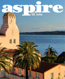## PE **La Jolla**D

ă, m

Ã

HI H